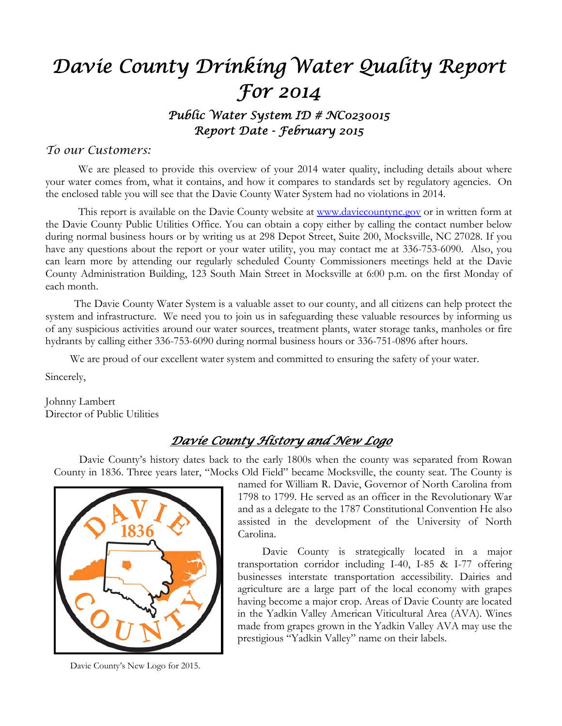# *Davie County Drinking Water Quality Report For 2014 Public Water System ID # NC0230015*

*Report Date - February 2015* 

#### *To our Customers:*

We are pleased to provide this overview of your 2014 water quality, including details about where your water comes from, what it contains, and how it compares to standards set by regulatory agencies. On the enclosed table you will see that the Davie County Water System had no violations in 2014.

This report is available on the Davie County website at www.daviecountync.gov or in written form at the Davie County Public Utilities Office. You can obtain a copy either by calling the contact number below during normal business hours or by writing us at 298 Depot Street, Suite 200, Mocksville, NC 27028. If you have any questions about the report or your water utility, you may contact me at 336-753-6090. Also, you can learn more by attending our regularly scheduled County Commissioners meetings held at the Davie County Administration Building, 123 South Main Street in Mocksville at 6:00 p.m. on the first Monday of each month.

 The Davie County Water System is a valuable asset to our county, and all citizens can help protect the system and infrastructure. We need you to join us in safeguarding these valuable resources by informing us of any suspicious activities around our water sources, treatment plants, water storage tanks, manholes or fire hydrants by calling either 336-753-6090 during normal business hours or 336-751-0896 after hours.

We are proud of our excellent water system and committed to ensuring the safety of your water.

Sincerely,

Johnny Lambert Director of Public Utilities

## *Davie County History and New Logo*

Davie County's history dates back to the early 1800s when the county was separated from Rowan County in 1836. Three years later, "Mocks Old Field" became Mocksville, the county seat. The County is



Davie County's New Logo for 2015.

named for William R. Davie, Governor of North Carolina from 1798 to 1799. He served as an officer in the Revolutionary War and as a delegate to the 1787 Constitutional Convention He also assisted in the development of the University of North Carolina.

 Davie County is strategically located in a major transportation corridor including I-40, I-85 & I-77 offering businesses interstate transportation accessibility. Dairies and agriculture are a large part of the local economy with grapes having become a major crop. Areas of Davie County are located in the Yadkin Valley American Viticultural Area (AVA). Wines made from grapes grown in the Yadkin Valley AVA may use the prestigious "Yadkin Valley" name on their labels.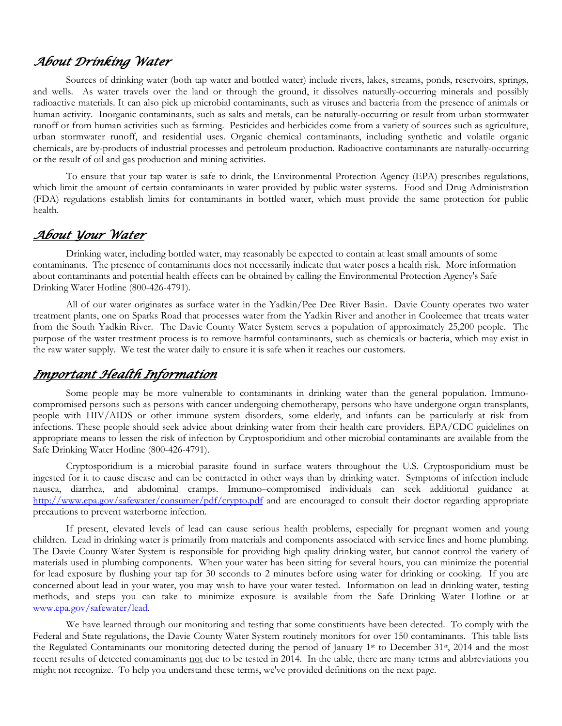## *About Drinking Water*

 Sources of drinking water (both tap water and bottled water) include rivers, lakes, streams, ponds, reservoirs, springs, and wells. As water travels over the land or through the ground, it dissolves naturally-occurring minerals and possibly radioactive materials. It can also pick up microbial contaminants, such as viruses and bacteria from the presence of animals or human activity. Inorganic contaminants, such as salts and metals, can be naturally-occurring or result from urban stormwater runoff or from human activities such as farming. Pesticides and herbicides come from a variety of sources such as agriculture, urban stormwater runoff, and residential uses. Organic chemical contaminants, including synthetic and volatile organic chemicals, are by-products of industrial processes and petroleum production. Radioactive contaminants are naturally-occurring or the result of oil and gas production and mining activities.

To ensure that your tap water is safe to drink, the Environmental Protection Agency (EPA) prescribes regulations, which limit the amount of certain contaminants in water provided by public water systems. Food and Drug Administration (FDA) regulations establish limits for contaminants in bottled water, which must provide the same protection for public health.

#### *About Your Water*

Drinking water, including bottled water, may reasonably be expected to contain at least small amounts of some contaminants. The presence of contaminants does not necessarily indicate that water poses a health risk. More information about contaminants and potential health effects can be obtained by calling the Environmental Protection Agency's Safe Drinking Water Hotline (800-426-4791).

 All of our water originates as surface water in the Yadkin/Pee Dee River Basin. Davie County operates two water treatment plants, one on Sparks Road that processes water from the Yadkin River and another in Cooleemee that treats water from the South Yadkin River. The Davie County Water System serves a population of approximately 25,200 people. The purpose of the water treatment process is to remove harmful contaminants, such as chemicals or bacteria, which may exist in the raw water supply. We test the water daily to ensure it is safe when it reaches our customers.

#### *Important Health Information*

Some people may be more vulnerable to contaminants in drinking water than the general population. Immunocompromised persons such as persons with cancer undergoing chemotherapy, persons who have undergone organ transplants, people with HIV/AIDS or other immune system disorders, some elderly, and infants can be particularly at risk from infections. These people should seek advice about drinking water from their health care providers. EPA/CDC guidelines on appropriate means to lessen the risk of infection by Cryptosporidium and other microbial contaminants are available from the Safe Drinking Water Hotline (800-426-4791).

 Cryptosporidium is a microbial parasite found in surface waters throughout the U.S. Cryptosporidium must be ingested for it to cause disease and can be contracted in other ways than by drinking water. Symptoms of infection include nausea, diarrhea, and abdominal cramps. Immuno–compromised individuals can seek additional guidance at http://www.epa.gov/safewater/consumer/pdf/crypto.pdf and are encouraged to consult their doctor regarding appropriate precautions to prevent waterborne infection.

 If present, elevated levels of lead can cause serious health problems, especially for pregnant women and young children. Lead in drinking water is primarily from materials and components associated with service lines and home plumbing. The Davie County Water System is responsible for providing high quality drinking water, but cannot control the variety of materials used in plumbing components. When your water has been sitting for several hours, you can minimize the potential for lead exposure by flushing your tap for 30 seconds to 2 minutes before using water for drinking or cooking. If you are concerned about lead in your water, you may wish to have your water tested. Information on lead in drinking water, testing methods, and steps you can take to minimize exposure is available from the Safe Drinking Water Hotline or at www.epa.gov/safewater/lead.

 We have learned through our monitoring and testing that some constituents have been detected. To comply with the Federal and State regulations, the Davie County Water System routinely monitors for over 150 contaminants. This table lists the Regulated Contaminants our monitoring detected during the period of January 1st to December 31st, 2014 and the most recent results of detected contaminants not due to be tested in 2014. In the table, there are many terms and abbreviations you might not recognize. To help you understand these terms, we've provided definitions on the next page.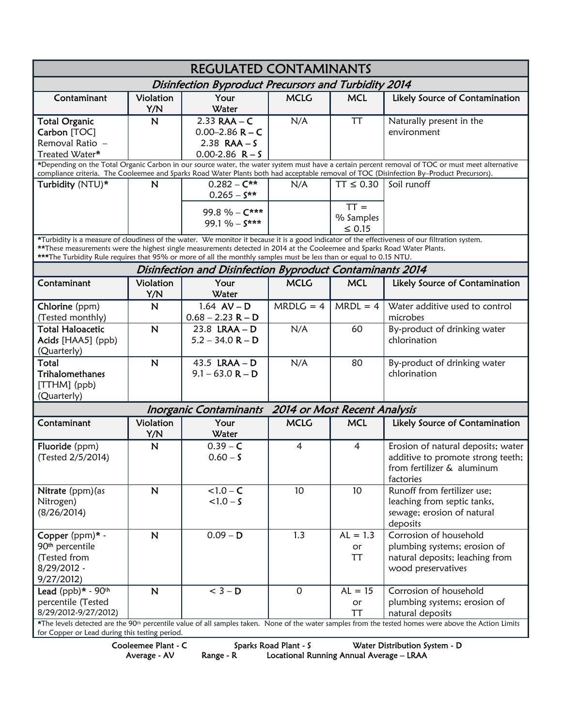| <b>REGULATED CONTAMINANTS</b>                                                                                                                                                                                                                                                                                                                                                                      |                         |                                                                                  |                              |                          |                                                                                                                    |  |  |  |  |
|----------------------------------------------------------------------------------------------------------------------------------------------------------------------------------------------------------------------------------------------------------------------------------------------------------------------------------------------------------------------------------------------------|-------------------------|----------------------------------------------------------------------------------|------------------------------|--------------------------|--------------------------------------------------------------------------------------------------------------------|--|--|--|--|
| Disinfection Byproduct Precursors and Turbidity 2014                                                                                                                                                                                                                                                                                                                                               |                         |                                                                                  |                              |                          |                                                                                                                    |  |  |  |  |
| Contaminant                                                                                                                                                                                                                                                                                                                                                                                        | Violation<br>Y/N        | Your<br>Water                                                                    | <b>MCLG</b>                  | <b>MCL</b>               | Likely Source of Contamination                                                                                     |  |  |  |  |
| <b>Total Organic</b><br>Carbon [TOC]<br>Removal Ratio -<br>Treated Water*                                                                                                                                                                                                                                                                                                                          | $\overline{\mathsf{N}}$ | $2.33$ RAA - C<br>$0.00 - 2.86$ R – C<br>$2.38$ RAA $-$ S<br>$0.00 - 2.86$ R - S | N/A                          | <b>TT</b>                | Naturally present in the<br>environment                                                                            |  |  |  |  |
| *Depending on the Total Organic Carbon in our source water, the water system must have a certain percent removal of TOC or must meet alternative<br>compliance criteria. The Cooleemee and Sparks Road Water Plants both had acceptable removal of TOC (Disinfection By-Product Precursors).                                                                                                       |                         |                                                                                  |                              |                          |                                                                                                                    |  |  |  |  |
| Turbidity (NTU)*                                                                                                                                                                                                                                                                                                                                                                                   | N                       | $0.282 - C**$<br>$0.265 - S^{**}$<br>99.8 % - C***                               | N/A                          | $TT \leq 0.30$<br>$TT =$ | Soil runoff                                                                                                        |  |  |  |  |
|                                                                                                                                                                                                                                                                                                                                                                                                    |                         | 99.1 % - $S***$                                                                  |                              | % Samples<br>$\leq 0.15$ |                                                                                                                    |  |  |  |  |
| *Turbidity is a measure of cloudiness of the water. We monitor it because it is a good indicator of the effectiveness of our filtration system.<br>**These measurements were the highest single measurements detected in 2014 at the Cooleemee and Sparks Road Water Plants.<br>***The Turbidity Rule requires that 95% or more of all the monthly samples must be less than or equal to 0.15 NTU. |                         |                                                                                  |                              |                          |                                                                                                                    |  |  |  |  |
| Disinfection and Disinfection Byproduct Contaminants 2014                                                                                                                                                                                                                                                                                                                                          |                         |                                                                                  |                              |                          |                                                                                                                    |  |  |  |  |
| Contaminant                                                                                                                                                                                                                                                                                                                                                                                        | Violation<br>Y/N        | Your<br>Water                                                                    | <b>MCLG</b>                  | <b>MCL</b>               | Likely Source of Contamination                                                                                     |  |  |  |  |
| Chlorine (ppm)<br>(Tested monthly)                                                                                                                                                                                                                                                                                                                                                                 | $\mathsf{N}$            | 1.64 $AV - D$<br>$0.68 - 2.23$ R – D                                             | $MRDLG = 4$                  | $MRDL = 4$               | Water additive used to control<br>microbes                                                                         |  |  |  |  |
| <b>Total Haloacetic</b><br>Acids [HAA5] (ppb)<br>(Quarterly)                                                                                                                                                                                                                                                                                                                                       | $\mathbf N$             | 23.8 LRAA - D<br>$5.2 - 34.0 R - D$                                              | N/A                          | 60                       | By-product of drinking water<br>chlorination                                                                       |  |  |  |  |
| Total<br><b>Trihalomethanes</b><br>$[THM]$ (ppb)<br>(Quarterly)                                                                                                                                                                                                                                                                                                                                    | $\mathsf{N}$            | 43.5 LRAA - D<br>$9.1 - 63.0 R - D$                                              | N/A                          | 80                       | By-product of drinking water<br>chlorination                                                                       |  |  |  |  |
|                                                                                                                                                                                                                                                                                                                                                                                                    |                         | <b>Inorganic Contaminants</b>                                                    | 2014 or Most Recent Analysis |                          |                                                                                                                    |  |  |  |  |
| Contaminant                                                                                                                                                                                                                                                                                                                                                                                        | Violation<br>Y/N        | Your<br>Water                                                                    | <b>MCLG</b>                  | <b>MCL</b>               | Likely Source of Contamination                                                                                     |  |  |  |  |
| Fluoride (ppm)<br>(Tested 2/5/2014)                                                                                                                                                                                                                                                                                                                                                                | $\mathbf N$             | $0.39 - C$<br>$0.60 - S$                                                         | $\overline{4}$               | $\overline{4}$           | Erosion of natural deposits; water<br>additive to promote strong teeth;<br>from fertilizer & aluminum<br>factories |  |  |  |  |
| Nitrate (ppm) (as<br>Nitrogen)<br>(8/26/2014)                                                                                                                                                                                                                                                                                                                                                      | $\mathbf N$             | $< 1.0 - C$<br>$< 1.0 - S$                                                       | 10                           | 10                       | Runoff from fertilizer use;<br>leaching from septic tanks,<br>sewage; erosion of natural<br>deposits               |  |  |  |  |
| Copper (ppm)* -<br>90 <sup>th</sup> percentile<br>(Tested from<br>8/29/2012 -<br>9/27/2012)                                                                                                                                                                                                                                                                                                        | $\mathbf N$             | $0.09 - D$                                                                       | 1.3                          | $AL = 1.3$<br>or<br>TT   | Corrosion of household<br>plumbing systems; erosion of<br>natural deposits; leaching from<br>wood preservatives    |  |  |  |  |
| Lead (ppb)* - $90th$<br>percentile (Tested<br>8/29/2012-9/27/2012)                                                                                                                                                                                                                                                                                                                                 | $\mathbf N$             | $<$ 3 – D                                                                        | $\mathsf O$                  | $AL = 15$<br>or<br>TT    | Corrosion of household<br>plumbing systems; erosion of<br>natural deposits                                         |  |  |  |  |
| *The levels detected are the 90 <sup>th</sup> percentile value of all samples taken. None of the water samples from the tested homes were above the Action Limits<br>for Copper or Lead during this testing period.                                                                                                                                                                                |                         |                                                                                  |                              |                          |                                                                                                                    |  |  |  |  |

Cooleemee Plant - C Sparks Road Plant - S Water Distribution System - D

Average - AV Range - R Locational Running Annual Average – LRAA